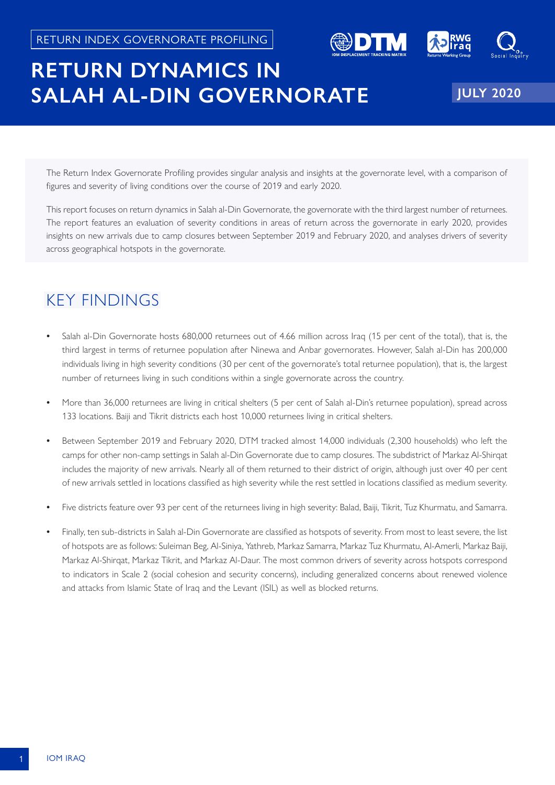**RETURN DYNAMICS IN** 

**SALAH AL-DIN GOVERNORATE**





**JULY 2020**

The Return Index Governorate Profiling provides singular analysis and insights at the governorate level, with a comparison of figures and severity of living conditions over the course of 2019 and early 2020.

This report focuses on return dynamics in Salah al-Din Governorate, the governorate with the third largest number of returnees. The report features an evaluation of severity conditions in areas of return across the governorate in early 2020, provides insights on new arrivals due to camp closures between September 2019 and February 2020, and analyses drivers of severity across geographical hotspots in the governorate.

## KEY FINDINGS

- **•** Salah al-Din Governorate hosts 680,000 returnees out of 4.66 million across Iraq (15 per cent of the total), that is, the third largest in terms of returnee population after Ninewa and Anbar governorates. However, Salah al-Din has 200,000 individuals living in high severity conditions (30 per cent of the governorate's total returnee population), that is, the largest number of returnees living in such conditions within a single governorate across the country.
- **•** More than 36,000 returnees are living in critical shelters (5 per cent of Salah al-Din's returnee population), spread across 133 locations. Baiji and Tikrit districts each host 10,000 returnees living in critical shelters.
- **•** Between September 2019 and February 2020, DTM tracked almost 14,000 individuals (2,300 households) who left the camps for other non-camp settings in Salah al-Din Governorate due to camp closures. The subdistrict of Markaz Al-Shirqat includes the majority of new arrivals. Nearly all of them returned to their district of origin, although just over 40 per cent of new arrivals settled in locations classified as high severity while the rest settled in locations classified as medium severity.
- **•** Five districts feature over 93 per cent of the returnees living in high severity: Balad, Baiji, Tikrit, Tuz Khurmatu, and Samarra.
- **•** Finally, ten sub-districts in Salah al-Din Governorate are classified as hotspots of severity. From most to least severe, the list of hotspots are as follows: Suleiman Beg, Al-Siniya, Yathreb, Markaz Samarra, Markaz Tuz Khurmatu, Al-Amerli, Markaz Baiji, Markaz Al-Shirqat, Markaz Tikrit, and Markaz Al-Daur. The most common drivers of severity across hotspots correspond to indicators in Scale 2 (social cohesion and security concerns), including generalized concerns about renewed violence and attacks from Islamic State of Iraq and the Levant (ISIL) as well as blocked returns.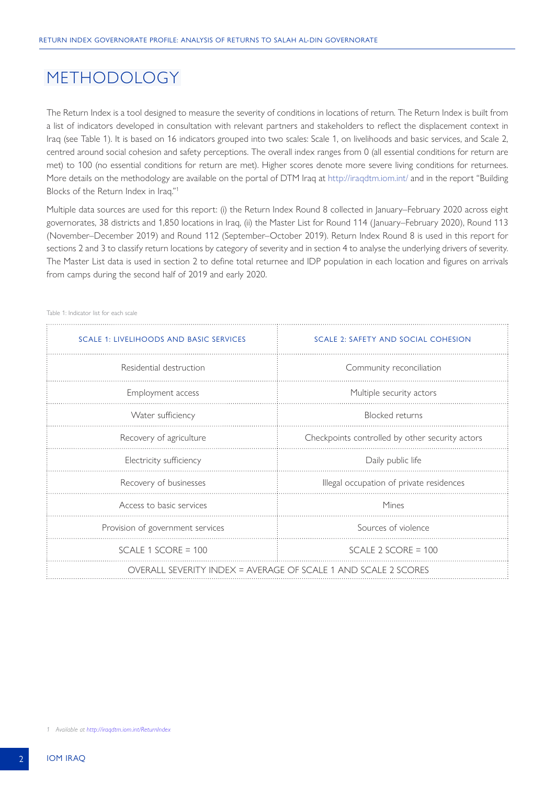## METHODOLOGY

The Return Index is a tool designed to measure the severity of conditions in locations of return. The Return Index is built from a list of indicators developed in consultation with relevant partners and stakeholders to reflect the displacement context in Iraq (see Table 1). It is based on 16 indicators grouped into two scales: Scale 1, on livelihoods and basic services, and Scale 2, centred around social cohesion and safety perceptions. The overall index ranges from 0 (all essential conditions for return are met) to 100 (no essential conditions for return are met). Higher scores denote more severe living conditions for returnees. More details on the methodology are available on the portal of DTM Iraq at http://iraqdtm.iom.int/ and in the report "Building Blocks of the Return Index in Iraq."1

Multiple data sources are used for this report: (i) the Return Index Round 8 collected in January–February 2020 across eight governorates, 38 districts and 1,850 locations in Iraq, (ii) the Master List for Round 114 (January–February 2020), Round 113 (November–December 2019) and Round 112 (September–October 2019). Return Index Round 8 is used in this report for sections 2 and 3 to classify return locations by category of severity and in section 4 to analyse the underlying drivers of severity. The Master List data is used in section 2 to define total returnee and IDP population in each location and figures on arrivals from camps during the second half of 2019 and early 2020.

| <b>SCALE 1: LIVELIHOODS AND BASIC SERVICES</b>                 | SCALE 2: SAFETY AND SOCIAL COHESION             |  |  |  |
|----------------------------------------------------------------|-------------------------------------------------|--|--|--|
| Residential destruction                                        | Community reconciliation                        |  |  |  |
| Employment access                                              | Multiple security actors                        |  |  |  |
| Water sufficiency                                              | <b>Blocked</b> returns                          |  |  |  |
| Recovery of agriculture                                        | Checkpoints controlled by other security actors |  |  |  |
| Electricity sufficiency                                        | Daily public life                               |  |  |  |
| Recovery of businesses                                         | Illegal occupation of private residences        |  |  |  |
| Access to basic services                                       | Mines                                           |  |  |  |
| Provision of government services                               | Sources of violence                             |  |  |  |
| SCALE 1 SCORE = $100$                                          | SCALE 2 SCORE = $100$                           |  |  |  |
| OVERALL SEVERITY INDEX = AVERAGE OF SCALE 1 AND SCALE 2 SCORES |                                                 |  |  |  |

#### Table 1: Indicator list for each scale

*<sup>1</sup> Available at http://iraqdtm.iom.int/ReturnIndex*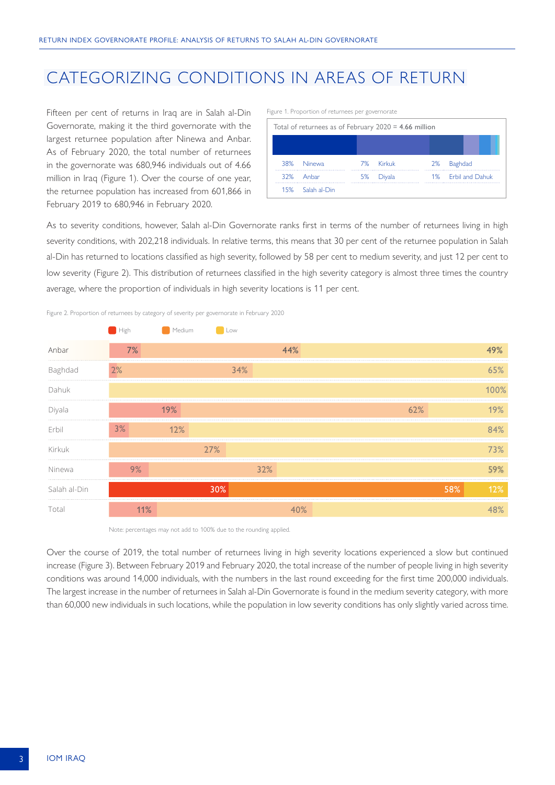# CATEGORIZING CONDITIONS IN AREAS OF RETURN

Fifteen per cent of returns in Iraq are in Salah al-Din Governorate, making it the third governorate with the largest returnee population after Ninewa and Anbar. As of February 2020, the total number of returnees in the governorate was 680,946 individuals out of 4.66 million in Iraq (Figure 1). Over the course of one year, the returnee population has increased from 601,866 in February 2019 to 680,946 in February 2020.

| Total of returnees as of February $2020 = 4.66$ million |                  |  |           |  |    |                    |  |
|---------------------------------------------------------|------------------|--|-----------|--|----|--------------------|--|
|                                                         |                  |  |           |  |    |                    |  |
|                                                         | 38% Ninewa       |  | 7% Kirkuk |  | 2% | Baghdad            |  |
|                                                         | 32% Anbar        |  | 5% Diyala |  |    | 1% Frbil and Dahuk |  |
|                                                         | 15% Salah al-Din |  |           |  |    |                    |  |

Figure 1. Proportion of returnees per governorate

As to severity conditions, however, Salah al-Din Governorate ranks first in terms of the number of returnees living in high severity conditions, with 202,218 individuals. In relative terms, this means that 30 per cent of the returnee population in Salah al-Din has returned to locations classified as high severity, followed by 58 per cent to medium severity, and just 12 per cent to low severity (Figure 2). This distribution of returnees classified in the high severity category is almost three times the country average, where the proportion of individuals in high severity locations is 11 per cent.

Figure 2. Proportion of returnees by category of severity per governorate in February 2020



Note: percentages may not add to 100% due to the rounding applied.

Over the course of 2019, the total number of returnees living in high severity locations experienced a slow but continued increase (Figure 3). Between February 2019 and February 2020, the total increase of the number of people living in high severity conditions was around 14,000 individuals, with the numbers in the last round exceeding for the first time 200,000 individuals. The largest increase in the number of returnees in Salah al-Din Governorate is found in the medium severity category, with more than 60,000 new individuals in such locations, while the population in low severity conditions has only slightly varied across time.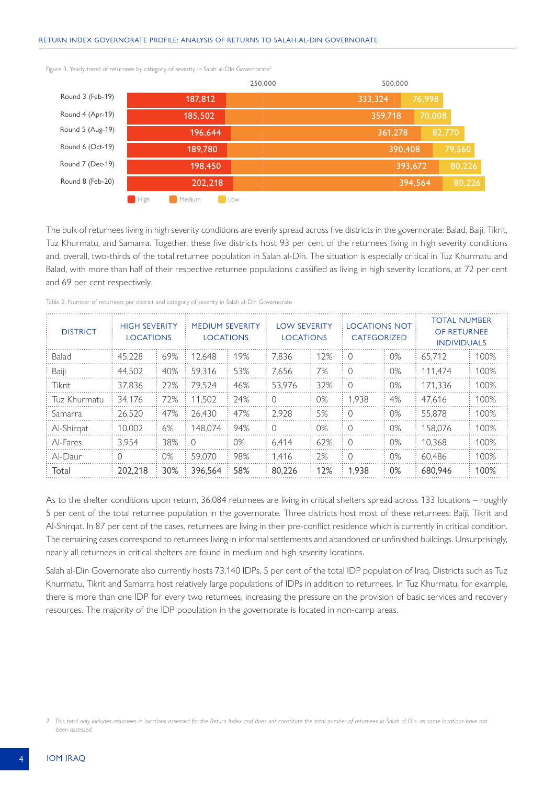|                  |                | 250,000 | 500,000 |         |        |
|------------------|----------------|---------|---------|---------|--------|
| Round 3 (Feb-19) | 187,812        |         | 333,324 | 76,998  |        |
| Round 4 (Apr-19) | 185,502        |         | 359,718 | 70,008  |        |
| Round 5 (Aug-19) | 196,644        |         | 361,278 |         | 82,770 |
| Round 6 (Oct-19) | 189,780        |         | 390,408 |         | 79,560 |
| Round 7 (Dec-19) | 198,450        |         | 393,672 |         | 80,226 |
| Round 8 (Feb-20) | 202,218        |         |         | 394,564 | 80,226 |
|                  | High<br>Medium | Low     |         |         |        |

Figure 3. Yearly trend of returnees by category of severity in Salah al-DIn Governorate<sup>2</sup>

The bulk of returnees living in high severity conditions are evenly spread across five districts in the governorate: Balad, Baiji, Tikrit, Tuz Khurmatu, and Samarra. Together, these five districts host 93 per cent of the returnees living in high severity conditions and, overall, two-thirds of the total returnee population in Salah al-Din. The situation is especially critical in Tuz Khurmatu and Balad, with more than half of their respective returnee populations classified as living in high severity locations, at 72 per cent and 69 per cent respectively.

| <b>DISTRICT</b> | <b>HIGH SEVERITY</b><br><b>LOCATIONS</b> |     | <b>MEDIUM SEVERITY</b><br><b>LOCATIONS</b> |       | <b>LOW SEVERITY</b><br><b>LOCATIONS</b> |       | <b>LOCATIONS NOT</b><br><b>CATEGORIZED</b> |       | <b>TOTAL NUMBER</b><br>OF RETURNEE<br><b>INDIVIDUALS</b> |      |
|-----------------|------------------------------------------|-----|--------------------------------------------|-------|-----------------------------------------|-------|--------------------------------------------|-------|----------------------------------------------------------|------|
| <b>Balad</b>    | 45.228                                   | 69% | 12.648                                     | 19%   | 7.836                                   | 12%   | 0                                          | 0%    | 65.712                                                   | 100% |
| Baiji           | 44.502                                   | 40% | 59.316                                     | 53%   | 7.656                                   | 7%    | 0                                          | 0%    | 111.474                                                  | 100% |
| <b>Tikrit</b>   | 37.836                                   | 22% | 79.524                                     | 46%   | 53.976                                  | 32%   | 0                                          | $0\%$ | 171.336                                                  | 100% |
| Tuz Khurmatu    | 34.176                                   | 72% | 11,502                                     | 24%   |                                         | $0\%$ | 1.938                                      | 4%    | 47.616                                                   | 100% |
| Samarra         | 26.520                                   | 47% | 26.430                                     | 47%   | 2.928                                   | 5%    |                                            | $0\%$ | 55.878                                                   | 100% |
| Al-Shirgat      | 10.002                                   | 6%  | 148.074                                    | 94%   |                                         | $0\%$ | 0                                          | 0%    | 158.076                                                  | 100% |
| Al-Fares        | 3.954                                    | 38% | $\Omega$                                   | $0\%$ | 6.414                                   | 62%   | 0                                          | $0\%$ | 10.368                                                   | 100% |
| Al-Daur         |                                          | 0%  | 59.070                                     | 98%   | 1.416                                   | 2%    | 0                                          | $0\%$ | 60.486                                                   | 100% |
| Total           | 202.218                                  | 30% | 396.564                                    | 58%   | 80.226                                  | 12%   | 1.938                                      | 0%    | 680.946                                                  | 100% |

Table 2: Number of returnees per district and category of severity in Salah al-Din Governorate

As to the shelter conditions upon return, 36,084 returnees are living in critical shelters spread across 133 locations – roughly 5 per cent of the total returnee population in the governorate. Three districts host most of these returnees: Baiji, Tikrit and Al-Shirqat. In 87 per cent of the cases, returnees are living in their pre-conflict residence which is currently in critical condition. The remaining cases correspond to returnees living in informal settlements and abandoned or unfinished buildings. Unsurprisingly, nearly all returnees in critical shelters are found in medium and high severity locations.

Salah al-Din Governorate also currently hosts 73,140 IDPs, 5 per cent of the total IDP population of Iraq. Districts such as Tuz Khurmatu, Tikrit and Samarra host relatively large populations of IDPs in addition to returnees. In Tuz Khurmatu, for example, there is more than one IDP for every two returnees, increasing the pressure on the provision of basic services and recovery resources. The majority of the IDP population in the governorate is located in non-camp areas.

<sup>2</sup> This total only includes returnees in locations assessed for the Return Index and does not constitute the total number of returnees in Salah al-Din, as some locations have not *been assessed.*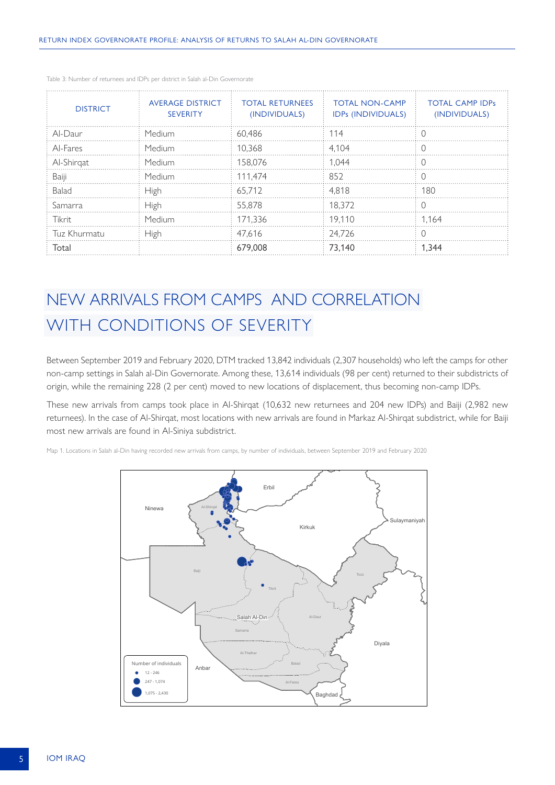| <b>DISTRICT</b> | <b>AVERAGE DISTRICT</b><br><b>SEVERITY</b> | <b>TOTAL RETURNEES</b><br>(INDIVIDUALS) | <b>TOTAL NON-CAMP</b><br><b>IDPs (INDIVIDUALS)</b> | <b>TOTAL CAMP IDPs</b><br>(INDIVIDUALS) |
|-----------------|--------------------------------------------|-----------------------------------------|----------------------------------------------------|-----------------------------------------|
| Al-Daur         | Medium                                     | 60.486                                  | 114                                                |                                         |
| Al-Fares        | Medium                                     | 10.368                                  | 4.104                                              |                                         |
| Al-Shirgat      | Medium                                     | 158.076                                 | 1.044                                              |                                         |
| Baiji           | Medium                                     | 111.474                                 | 852                                                |                                         |
| <b>Balad</b>    | High                                       | 65.712                                  | 4.818                                              | 180                                     |
| Samarra         | High                                       | 55.878                                  | 18.372                                             |                                         |
| Tikrit          | Medium                                     | 171.336                                 | 19.110                                             | 1,164                                   |
| Tuz Khurmatu    | High                                       | 47.616                                  | 24.726                                             |                                         |
| Total           |                                            | 679.008                                 | 73.140                                             | 1.344                                   |

Table 3: Number of returnees and IDPs per district in Salah al-Din Governorate

# NEW ARRIVALS FROM CAMPS AND CORRELATION WITH CONDITIONS OF SEVERITY

Between September 2019 and February 2020, DTM tracked 13,842 individuals (2,307 households) who left the camps for other non-camp settings in Salah al-Din Governorate. Among these, 13,614 individuals (98 per cent) returned to their subdistricts of origin, while the remaining 228 (2 per cent) moved to new locations of displacement, thus becoming non-camp IDPs.

These new arrivals from camps took place in Al-Shirqat (10,632 new returnees and 204 new IDPs) and Baiji (2,982 new returnees). In the case of Al-Shirqat, most locations with new arrivals are found in Markaz Al-Shirqat subdistrict, while for Baiji most new arrivals are found in Al-Siniya subdistrict.

Map 1. Locations in Salah al-Din having recorded new arrivals from camps, by number of individuals, between September 2019 and February 2020

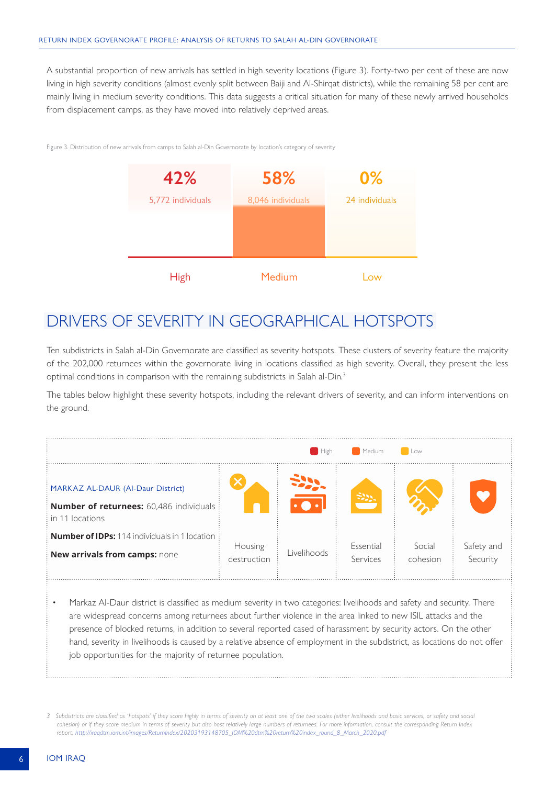A substantial proportion of new arrivals has settled in high severity locations (Figure 3). Forty-two per cent of these are now living in high severity conditions (almost evenly split between Baiji and Al-Shirqat districts), while the remaining 58 per cent are mainly living in medium severity conditions. This data suggests a critical situation for many of these newly arrived households from displacement camps, as they have moved into relatively deprived areas.



Figure 3. Distribution of new arrivals from camps to Salah al-Din Governorate by location's category of severity

## DRIVERS OF SEVERITY IN GEOGRAPHICAL HOTSPOTS

Ten subdistricts in Salah al-Din Governorate are classified as severity hotspots. These clusters of severity feature the majority of the 202,000 returnees within the governorate living in locations classified as high severity. Overall, they present the less optimal conditions in comparison with the remaining subdistricts in Salah al-Din.3

The tables below highlight these severity hotspots, including the relevant drivers of severity, and can inform interventions on the ground.



• Markaz Al-Daur district is classified as medium severity in two categories: livelihoods and safety and security. There are widespread concerns among returnees about further violence in the area linked to new ISIL attacks and the presence of blocked returns, in addition to several reported cased of harassment by security actors. On the other hand, severity in livelihoods is caused by a relative absence of employment in the subdistrict, as locations do not offer job opportunities for the majority of returnee population.

*<sup>3</sup> Subdistricts are classified as 'hotspots' if they score highly in terms of severity on at least one of the two scales (either livelihoods and basic services, or safety and social cohesion) or if they score medium in terms of severity but also host relatively large numbers of returnees. For more information, consult the corresponding Return Index report: http://iraqdtm.iom.int/images/ReturnIndex/20203193148705\_IOM%20dtm%20return%20index\_round\_8\_March\_2020.pdf*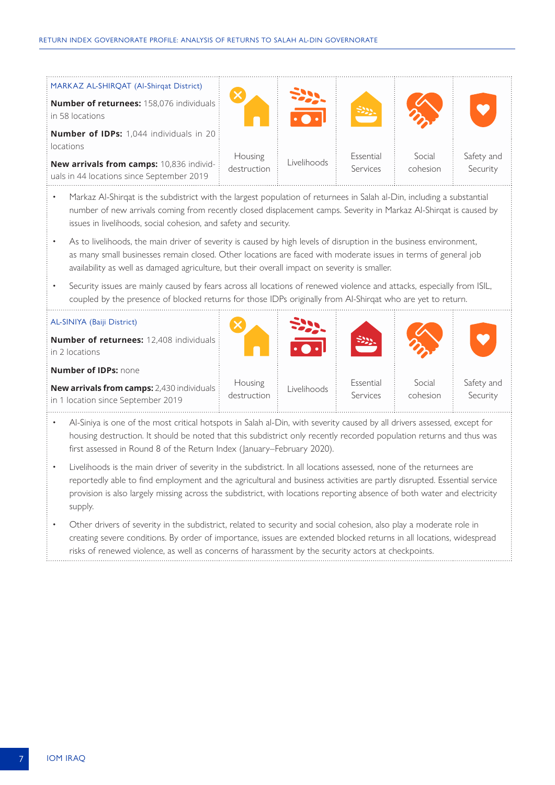| MARKAZ AL-SHIRQAT (Al-Shirqat District)<br>Number of returnees: 158,076 individuals :<br>in 58 locations<br><b>Number of IDPs:</b> 1,044 individuals in 20 ! |                        | $\approx$   | 22                    |                    |                        |
|--------------------------------------------------------------------------------------------------------------------------------------------------------------|------------------------|-------------|-----------------------|--------------------|------------------------|
| <i>locations</i><br>New arrivals from camps: 10,836 individ-<br>uals in 44 locations since September 2019                                                    | Housing<br>destruction | Livelihoods | Essential<br>Services | Social<br>cohesion | Safety and<br>Security |

- Markaz Al-Shirqat is the subdistrict with the largest population of returnees in Salah al-Din, including a substantial number of new arrivals coming from recently closed displacement camps. Severity in Markaz Al-Shirqat is caused by issues in livelihoods, social cohesion, and safety and security.
- As to livelihoods, the main driver of severity is caused by high levels of disruption in the business environment, as many small businesses remain closed. Other locations are faced with moderate issues in terms of general job availability as well as damaged agriculture, but their overall impact on severity is smaller.
- Security issues are mainly caused by fears across all locations of renewed violence and attacks, especially from ISIL, coupled by the presence of blocked returns for those IDPs originally from Al-Shirqat who are yet to return.

| AL-SINIYA (Baiji District)                                                                                               |                        |             |                       |                    |                        |
|--------------------------------------------------------------------------------------------------------------------------|------------------------|-------------|-----------------------|--------------------|------------------------|
| <b>Number of returnees:</b> 12,408 individuals :<br>in 2 locations                                                       |                        |             |                       |                    |                        |
| <b>Number of IDPs: none</b>                                                                                              |                        |             |                       |                    |                        |
| New arrivals from camps: 2,430 individuals i<br>in 1 location since September 2019                                       | Housing<br>destruction | Livelihoods | Essential<br>Services | Social<br>cohesion | Safety and<br>Security |
| . Al Siniva is one of the most critical betspats in Salah al Din with soverity caused by all drivers assocced oxeant for |                        |             |                       |                    |                        |

- Al-Siniya is one of the most critical hotspots in Salah al-Din, with severity caused by all drivers assessed, except for housing destruction. It should be noted that this subdistrict only recently recorded population returns and thus was first assessed in Round 8 of the Return Index (January–February 2020).
- Livelihoods is the main driver of severity in the subdistrict. In all locations assessed, none of the returnees are reportedly able to find employment and the agricultural and business activities are partly disrupted. Essential service provision is also largely missing across the subdistrict, with locations reporting absence of both water and electricity supply.
- Other drivers of severity in the subdistrict, related to security and social cohesion, also play a moderate role in creating severe conditions. By order of importance, issues are extended blocked returns in all locations, widespread risks of renewed violence, as well as concerns of harassment by the security actors at checkpoints.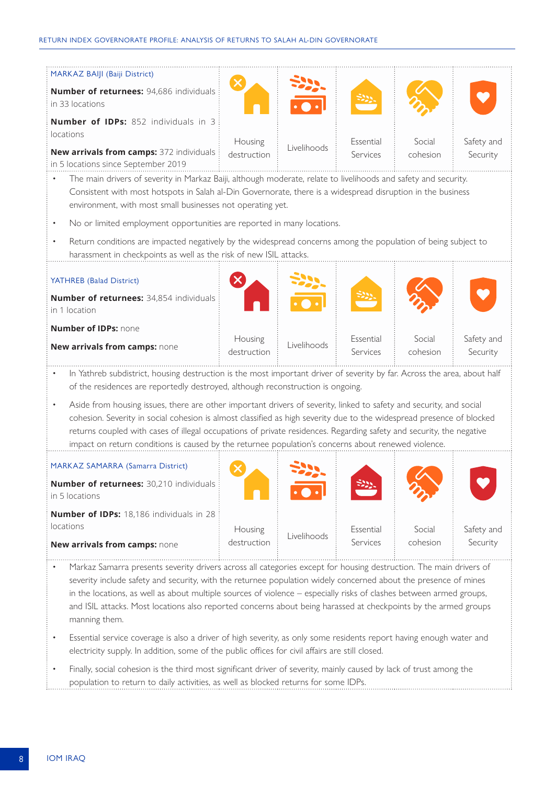| MARKAZ BAIJI (Baiji District)                                                                                                                                                                                                  |             |             |           |          |            |
|--------------------------------------------------------------------------------------------------------------------------------------------------------------------------------------------------------------------------------|-------------|-------------|-----------|----------|------------|
| Number of returnees: 94,686 individuals                                                                                                                                                                                        |             |             |           |          |            |
| in 33 locations                                                                                                                                                                                                                |             |             |           |          |            |
| <b>Number of IDPs:</b> 852 individuals in 3                                                                                                                                                                                    |             |             |           |          |            |
| locations                                                                                                                                                                                                                      | Housing     |             | Essential | Social   | Safety and |
| New arrivals from camps: 372 individuals                                                                                                                                                                                       | destruction | Livelihoods | Services  | cohesion | Security   |
| in 5 locations since September 2019                                                                                                                                                                                            |             |             |           |          |            |
| The main drivers of severity in Markaz Baiji, although moderate, relate to livelihoods and safety and security.<br>Consistent with most hotspots in Salah al-Din Governorate, there is a widespread disruption in the business |             |             |           |          |            |
| environment, with most small businesses not operating yet.                                                                                                                                                                     |             |             |           |          |            |
|                                                                                                                                                                                                                                |             |             |           |          |            |
| No or limited employment opportunities are reported in many locations.                                                                                                                                                         |             |             |           |          |            |
| Return conditions are impacted negatively by the widespread concerns among the population of being subject to                                                                                                                  |             |             |           |          |            |
| harassment in checkpoints as well as the risk of new ISIL attacks.                                                                                                                                                             |             |             |           |          |            |
| YATHREB (Balad District)                                                                                                                                                                                                       |             |             |           |          |            |
| Number of returnees: 34,854 individuals                                                                                                                                                                                        |             |             |           |          |            |
| in 1 location                                                                                                                                                                                                                  |             |             |           |          |            |
| Number of IDPs: none                                                                                                                                                                                                           |             |             |           |          |            |
| New arrivals from camps: none                                                                                                                                                                                                  | Housing     | Livelihoods | Essential | Social   | Safety and |
|                                                                                                                                                                                                                                | destruction |             | Services  | cohesion | Security   |
| In Yathreb subdistrict, housing destruction is the most important driver of severity by far. Across the area, about half                                                                                                       |             |             |           |          |            |
| of the residences are reportedly destroyed, although reconstruction is ongoing.                                                                                                                                                |             |             |           |          |            |
| Aside from housing issues, there are other important drivers of severity, linked to safety and security, and social                                                                                                            |             |             |           |          |            |
| cohesion. Severity in social cohesion is almost classified as high severity due to the widespread presence of blocked                                                                                                          |             |             |           |          |            |
| returns coupled with cases of illegal occupations of private residences. Regarding safety and security, the negative<br>impact on return conditions is caused by the returnee population's concerns about renewed violence.    |             |             |           |          |            |
|                                                                                                                                                                                                                                |             |             |           |          |            |
| MARKAZ SAMARRA (Samarra District)                                                                                                                                                                                              |             |             |           |          |            |
| Number of returnees: 30,210 individuals                                                                                                                                                                                        |             |             |           |          |            |
| in 5 locations                                                                                                                                                                                                                 |             |             |           |          |            |
| Number of IDPs: 18,186 individuals in 28                                                                                                                                                                                       |             |             |           |          |            |
| locations                                                                                                                                                                                                                      | Housing     | Livelihoods | Essential | Social   | Safety and |
| New arrivals from camps: none                                                                                                                                                                                                  | destruction |             | Services  | cohesion | Security   |
| Markaz Samarra presents severity drivers across all categories except for housing destruction. The main drivers of                                                                                                             |             |             |           |          |            |
| severity include safety and security, with the returnee population widely concerned about the presence of mines                                                                                                                |             |             |           |          |            |
| in the locations, as well as about multiple sources of violence - especially risks of clashes between armed groups,                                                                                                            |             |             |           |          |            |
| and ISIL attacks. Most locations also reported concerns about being harassed at checkpoints by the armed groups<br>manning them.                                                                                               |             |             |           |          |            |
| Essential service coverage is also a driver of high severity as only some residents report having enough water and                                                                                                             |             |             |           |          |            |

- Essential service coverage is also a driver of high severity, as only some residents report having enough water and electricity supply. In addition, some of the public offices for civil affairs are still closed.
- Finally, social cohesion is the third most significant driver of severity, mainly caused by lack of trust among the population to return to daily activities, as well as blocked returns for some IDPs.ŧ.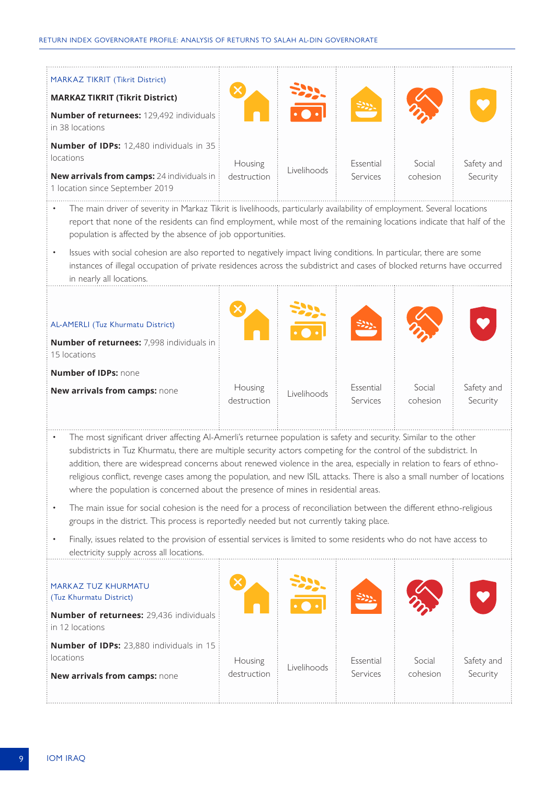| <b>MARKAZ TIKRIT (Tikrit District)</b><br><b>MARKAZ TIKRIT (Tikrit District)</b><br>Number of returnees: 129,492 individuals<br>in 38 locations                                                                                                                                                                                                                                                                                                                                                                                                                                                                                                                                                                                                                                                                                                                                                                                                                              |                        |             |                       |                    |                        |  |  |  |
|------------------------------------------------------------------------------------------------------------------------------------------------------------------------------------------------------------------------------------------------------------------------------------------------------------------------------------------------------------------------------------------------------------------------------------------------------------------------------------------------------------------------------------------------------------------------------------------------------------------------------------------------------------------------------------------------------------------------------------------------------------------------------------------------------------------------------------------------------------------------------------------------------------------------------------------------------------------------------|------------------------|-------------|-----------------------|--------------------|------------------------|--|--|--|
| Number of IDPs: 12,480 individuals in 35<br>locations<br>New arrivals from camps: 24 individuals in<br>1 location since September 2019                                                                                                                                                                                                                                                                                                                                                                                                                                                                                                                                                                                                                                                                                                                                                                                                                                       | Housing<br>destruction | Livelihoods | Essential<br>Services | Social<br>cohesion | Safety and<br>Security |  |  |  |
| The main driver of severity in Markaz Tikrit is livelihoods, particularly availability of employment. Several locations<br>report that none of the residents can find employment, while most of the remaining locations indicate that half of the<br>population is affected by the absence of job opportunities.<br>Issues with social cohesion are also reported to negatively impact living conditions. In particular, there are some<br>instances of illegal occupation of private residences across the subdistrict and cases of blocked returns have occurred                                                                                                                                                                                                                                                                                                                                                                                                           |                        |             |                       |                    |                        |  |  |  |
| in nearly all locations.<br>AL-AMERLI (Tuz Khurmatu District)<br>Number of returnees: 7,998 individuals in<br>15 locations<br>Number of IDPs: none                                                                                                                                                                                                                                                                                                                                                                                                                                                                                                                                                                                                                                                                                                                                                                                                                           | Housing                |             | Essential             | Social             | Safety and             |  |  |  |
| New arrivals from camps: none                                                                                                                                                                                                                                                                                                                                                                                                                                                                                                                                                                                                                                                                                                                                                                                                                                                                                                                                                | destruction            | Livelihoods | Services              | cohesion           | Security               |  |  |  |
| The most significant driver affecting Al-Amerli's returnee population is safety and security. Similar to the other<br>subdistricts in Tuz Khurmatu, there are multiple security actors competing for the control of the subdistrict. In<br>addition, there are widespread concerns about renewed violence in the area, especially in relation to fears of ethno-<br>religious conflict, revenge cases among the population, and new ISIL attacks. There is also a small number of locations<br>where the population is concerned about the presence of mines in residential areas.<br>The main issue for social cohesion is the need for a process of reconciliation between the different ethno-religious<br>groups in the district. This process is reportedly needed but not currently taking place.<br>Finally, issues related to the provision of essential services is limited to some residents who do not have access to<br>electricity supply across all locations. |                        |             |                       |                    |                        |  |  |  |
| <b>MARKAZ TUZ KHURMATU</b><br>(Tuz Khurmatu District)<br>Number of returnees: 29,436 individuals<br>in 12 locations<br><b>Number of IDPs:</b> 23,880 individuals in 15<br>locations                                                                                                                                                                                                                                                                                                                                                                                                                                                                                                                                                                                                                                                                                                                                                                                          | Housing                | Livelihoods | Essential             | Social             | Safety and             |  |  |  |
| New arrivals from camps: none                                                                                                                                                                                                                                                                                                                                                                                                                                                                                                                                                                                                                                                                                                                                                                                                                                                                                                                                                | destruction            |             | Services              | cohesion           | Security               |  |  |  |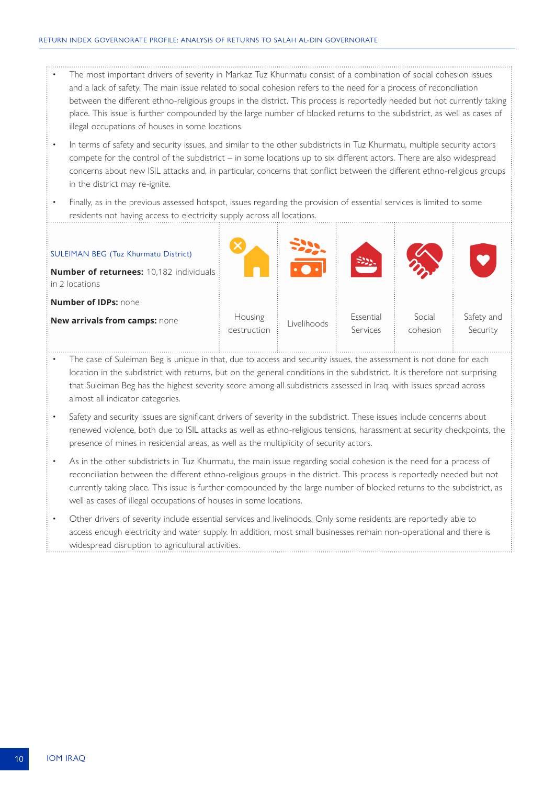- The most important drivers of severity in Markaz Tuz Khurmatu consist of a combination of social cohesion issues and a lack of safety. The main issue related to social cohesion refers to the need for a process of reconciliation between the different ethno-religious groups in the district. This process is reportedly needed but not currently taking place. This issue is further compounded by the large number of blocked returns to the subdistrict, as well as cases of illegal occupations of houses in some locations.
- In terms of safety and security issues, and similar to the other subdistricts in Tuz Khurmatu, multiple security actors compete for the control of the subdistrict – in some locations up to six different actors. There are also widespread concerns about new ISIL attacks and, in particular, concerns that conflict between the different ethno-religious groups in the district may re-ignite.
- Finally, as in the previous assessed hotspot, issues regarding the provision of essential services is limited to some residents not having access to electricity supply across all locations.

| SULEIMAN BEG (Tuz Khurmatu District)<br>Number of returnees: 10,182 individuals :<br>in 2 locations |                |             | $\mathbb{R}^{n}$ |          |            |
|-----------------------------------------------------------------------------------------------------|----------------|-------------|------------------|----------|------------|
| <b>Number of IDPs: none</b>                                                                         | <b>Housing</b> | Livelihoods | Essential        | Social   | Safety and |
| New arrivals from camps: none                                                                       | destruction    |             | Services         | cohesion | Security   |

- The case of Suleiman Beg is unique in that, due to access and security issues, the assessment is not done for each location in the subdistrict with returns, but on the general conditions in the subdistrict. It is therefore not surprising that Suleiman Beg has the highest severity score among all subdistricts assessed in Iraq, with issues spread across almost all indicator categories.
- Safety and security issues are significant drivers of severity in the subdistrict. These issues include concerns about renewed violence, both due to ISIL attacks as well as ethno-religious tensions, harassment at security checkpoints, the presence of mines in residential areas, as well as the multiplicity of security actors.
- As in the other subdistricts in Tuz Khurmatu, the main issue regarding social cohesion is the need for a process of reconciliation between the different ethno-religious groups in the district. This process is reportedly needed but not currently taking place. This issue is further compounded by the large number of blocked returns to the subdistrict, as well as cases of illegal occupations of houses in some locations.
- Other drivers of severity include essential services and livelihoods. Only some residents are reportedly able to access enough electricity and water supply. In addition, most small businesses remain non-operational and there is widespread disruption to agricultural activities.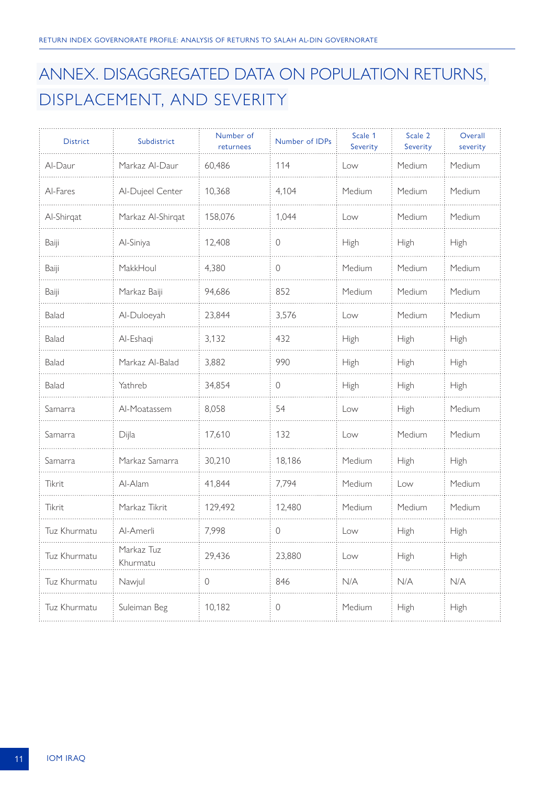# ANNEX. DISAGGREGATED DATA ON POPULATION RETURNS, DISPLACEMENT, AND SEVERITY

| <b>District</b> | Subdistrict            | Number of<br>returnees | Number of IDPs | Scale 1<br>Severity | Scale 2<br>Severity | Overall<br>severity |
|-----------------|------------------------|------------------------|----------------|---------------------|---------------------|---------------------|
| Al-Daur         | Markaz Al-Daur         | 60,486                 | 114            | Low                 | Medium              | Medium              |
| Al-Fares        | Al-Dujeel Center       | 10,368                 | 4,104          | Medium              | Medium              | Medium              |
| Al-Shirqat      | Markaz Al-Shirqat      | 158,076                | 1,044          | Low                 | Medium              | Medium              |
| Baiji           | Al-Siniya              | 12,408                 | $\Omega$       | High                | High                | High                |
| Baiji           | MakkHoul               | 4,380                  | $\circ$        | Medium              | Medium              | Medium              |
| Baiji           | Markaz Baiji           | 94,686                 | 852            | Medium              | Medium              | Medium              |
| <b>Balad</b>    | Al-Duloeyah            | 23,844                 | 3,576          | Low                 | Medium              | Medium              |
| <b>Balad</b>    | Al-Eshaqi              | 3,132                  | 432            | High                | High                | High                |
| Balad           | Markaz Al-Balad        | 3,882                  | 990            | High                | High                | High                |
| Balad           | Yathreb                | 34,854                 | $\circ$        | High                | High                | High                |
| Samarra         | Al-Moatassem           | 8,058                  | 54             | Low                 | High                | Medium              |
| Samarra         | Dijla                  | 17,610                 | 132            | Low                 | Medium              | Medium              |
| Samarra         | Markaz Samarra         | 30,210                 | 18,186         | Medium              | High                | <b>High</b>         |
| Tikrit          | Al-Alam                | 41,844                 | 7,794          | Medium              | Low                 | Medium              |
| Tikrit          | Markaz Tikrit          | 129,492                | 12,480         | Medium              | Medium              | Medium              |
| Tuz Khurmatu    | Al-Amerli              | 7,998                  | 0              | Low                 | High                | High                |
| Tuz Khurmatu    | Markaz Tuz<br>Khurmatu | 29,436                 | 23,880         | Low                 | High                | High                |
| Tuz Khurmatu    | Nawjul                 | 0                      | 846            | N/A                 | N/A                 | N/A                 |
| Tuz Khurmatu    | Suleiman Beg           | 10,182                 | $\mathbb O$    | Medium              | High                | High                |